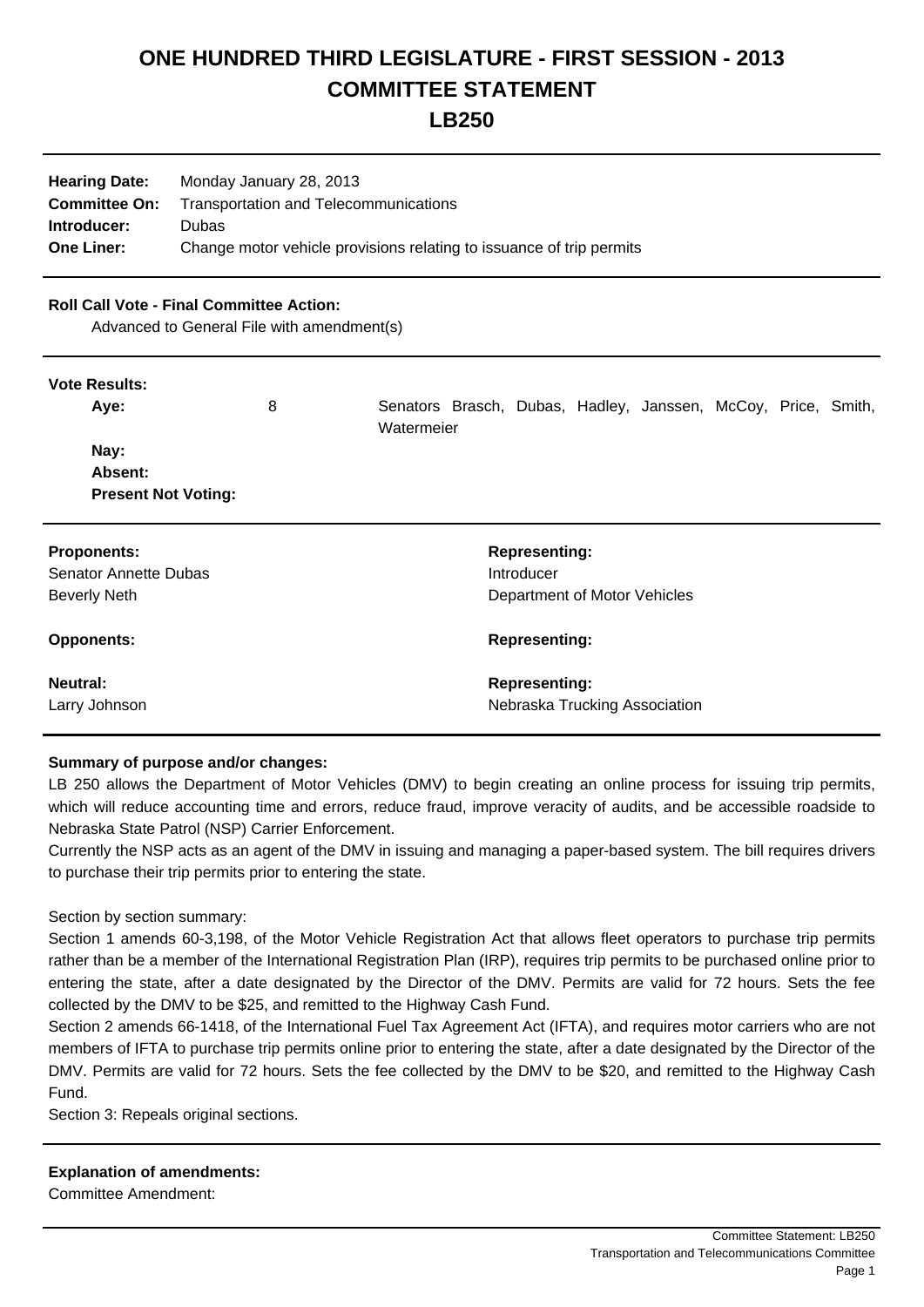# **ONE HUNDRED THIRD LEGISLATURE - FIRST SESSION - 2013 COMMITTEE STATEMENT**

# **LB250**

| <b>Hearing Date:</b> | Monday January 28, 2013                                              |
|----------------------|----------------------------------------------------------------------|
| <b>Committee On:</b> | <b>Transportation and Telecommunications</b>                         |
| Introducer:          | Dubas                                                                |
| <b>One Liner:</b>    | Change motor vehicle provisions relating to issuance of trip permits |

#### **Roll Call Vote - Final Committee Action:**

Advanced to General File with amendment(s)

#### **Vote Results:**

| Aye:                         | 8 | Watermeier |                      |                              | Senators Brasch, Dubas, Hadley, Janssen, McCoy, Price, Smith, |  |  |
|------------------------------|---|------------|----------------------|------------------------------|---------------------------------------------------------------|--|--|
| Nay:                         |   |            |                      |                              |                                                               |  |  |
| Absent:                      |   |            |                      |                              |                                                               |  |  |
| <b>Present Not Voting:</b>   |   |            |                      |                              |                                                               |  |  |
| <b>Proponents:</b>           |   |            | <b>Representing:</b> |                              |                                                               |  |  |
| <b>Senator Annette Dubas</b> |   |            | Introducer           |                              |                                                               |  |  |
| <b>Beverly Neth</b>          |   |            |                      | Department of Motor Vehicles |                                                               |  |  |
| <b>Opponents:</b>            |   |            | <b>Representing:</b> |                              |                                                               |  |  |
| Neutral:                     |   |            | <b>Representing:</b> |                              |                                                               |  |  |
| Larry Johnson                |   |            |                      |                              | Nebraska Trucking Association                                 |  |  |

## **Summary of purpose and/or changes:**

LB 250 allows the Department of Motor Vehicles (DMV) to begin creating an online process for issuing trip permits, which will reduce accounting time and errors, reduce fraud, improve veracity of audits, and be accessible roadside to Nebraska State Patrol (NSP) Carrier Enforcement.

Currently the NSP acts as an agent of the DMV in issuing and managing a paper-based system. The bill requires drivers to purchase their trip permits prior to entering the state.

#### Section by section summary:

Section 1 amends 60-3,198, of the Motor Vehicle Registration Act that allows fleet operators to purchase trip permits rather than be a member of the International Registration Plan (IRP), requires trip permits to be purchased online prior to entering the state, after a date designated by the Director of the DMV. Permits are valid for 72 hours. Sets the fee collected by the DMV to be \$25, and remitted to the Highway Cash Fund.

Section 2 amends 66-1418, of the International Fuel Tax Agreement Act (IFTA), and requires motor carriers who are not members of IFTA to purchase trip permits online prior to entering the state, after a date designated by the Director of the DMV. Permits are valid for 72 hours. Sets the fee collected by the DMV to be \$20, and remitted to the Highway Cash Fund.

Section 3: Repeals original sections.

## **Explanation of amendments:**

Committee Amendment: